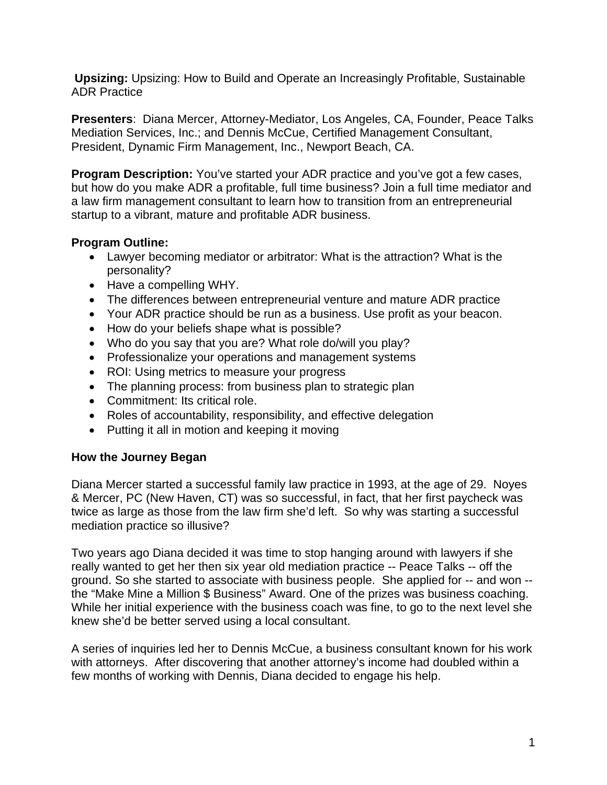**Upsizing:** Upsizing: How to Build and Operate an Increasingly Profitable, Sustainable ADR Practice

**Presenters**: Diana Mercer, Attorney-Mediator, Los Angeles, CA, Founder, Peace Talks Mediation Services, Inc.; and Dennis McCue, Certified Management Consultant, President, Dynamic Firm Management, Inc., Newport Beach, CA.

**Program Description:** You've started your ADR practice and you've got a few cases, but how do you make ADR a profitable, full time business? Join a full time mediator and a law firm management consultant to learn how to transition from an entrepreneurial startup to a vibrant, mature and profitable ADR business.

## **Program Outline:**

- Lawyer becoming mediator or arbitrator: What is the attraction? What is the personality?
- Have a compelling WHY.
- The differences between entrepreneurial venture and mature ADR practice
- Your ADR practice should be run as a business. Use profit as your beacon.
- How do your beliefs shape what is possible?
- Who do you say that you are? What role do/will you play?
- Professionalize your operations and management systems
- ROI: Using metrics to measure your progress
- The planning process: from business plan to strategic plan
- Commitment: Its critical role.
- Roles of accountability, responsibility, and effective delegation
- Putting it all in motion and keeping it moving

## **How the Journey Began**

Diana Mercer started a successful family law practice in 1993, at the age of 29. Noyes & Mercer, PC (New Haven, CT) was so successful, in fact, that her first paycheck was twice as large as those from the law firm she'd left. So why was starting a successful mediation practice so illusive?

Two years ago Diana decided it was time to stop hanging around with lawyers if she really wanted to get her then six year old mediation practice -- Peace Talks -- off the ground. So she started to associate with business people. She applied for -- and won - the "Make Mine a Million \$ Business" Award. One of the prizes was business coaching. While her initial experience with the business coach was fine, to go to the next level she knew she'd be better served using a local consultant.

A series of inquiries led her to Dennis McCue, a business consultant known for his work with attorneys. After discovering that another attorney's income had doubled within a few months of working with Dennis, Diana decided to engage his help.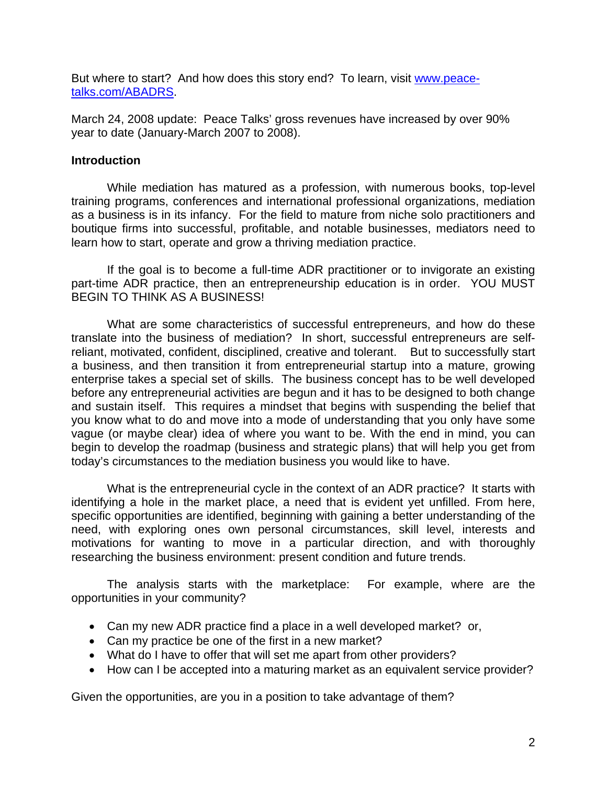But where to start? And how does this story end? To learn, visit www.peacetalks.com/ABADRS.

March 24, 2008 update: Peace Talks' gross revenues have increased by over 90% year to date (January-March 2007 to 2008).

### **Introduction**

 While mediation has matured as a profession, with numerous books, top-level training programs, conferences and international professional organizations, mediation as a business is in its infancy. For the field to mature from niche solo practitioners and boutique firms into successful, profitable, and notable businesses, mediators need to learn how to start, operate and grow a thriving mediation practice.

If the goal is to become a full-time ADR practitioner or to invigorate an existing part-time ADR practice, then an entrepreneurship education is in order. YOU MUST BEGIN TO THINK AS A BUSINESS!

What are some characteristics of successful entrepreneurs, and how do these translate into the business of mediation? In short, successful entrepreneurs are selfreliant, motivated, confident, disciplined, creative and tolerant. But to successfully start a business, and then transition it from entrepreneurial startup into a mature, growing enterprise takes a special set of skills. The business concept has to be well developed before any entrepreneurial activities are begun and it has to be designed to both change and sustain itself. This requires a mindset that begins with suspending the belief that you know what to do and move into a mode of understanding that you only have some vague (or maybe clear) idea of where you want to be. With the end in mind, you can begin to develop the roadmap (business and strategic plans) that will help you get from today's circumstances to the mediation business you would like to have.

What is the entrepreneurial cycle in the context of an ADR practice? It starts with identifying a hole in the market place, a need that is evident yet unfilled. From here, specific opportunities are identified, beginning with gaining a better understanding of the need, with exploring ones own personal circumstances, skill level, interests and motivations for wanting to move in a particular direction, and with thoroughly researching the business environment: present condition and future trends.

The analysis starts with the marketplace: For example, where are the opportunities in your community?

- Can my new ADR practice find a place in a well developed market? or,
- Can my practice be one of the first in a new market?
- What do I have to offer that will set me apart from other providers?
- How can I be accepted into a maturing market as an equivalent service provider?

Given the opportunities, are you in a position to take advantage of them?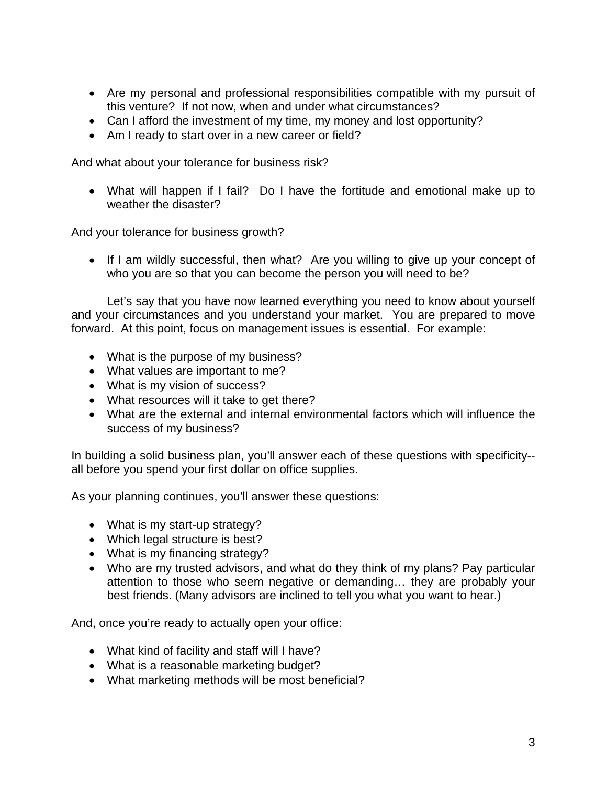- Are my personal and professional responsibilities compatible with my pursuit of this venture? If not now, when and under what circumstances?
- Can I afford the investment of my time, my money and lost opportunity?
- Am I ready to start over in a new career or field?

And what about your tolerance for business risk?

• What will happen if I fail? Do I have the fortitude and emotional make up to weather the disaster?

And your tolerance for business growth?

• If I am wildly successful, then what? Are you willing to give up your concept of who you are so that you can become the person you will need to be?

 Let's say that you have now learned everything you need to know about yourself and your circumstances and you understand your market. You are prepared to move forward. At this point, focus on management issues is essential. For example:

- What is the purpose of my business?
- What values are important to me?
- What is my vision of success?
- What resources will it take to get there?
- What are the external and internal environmental factors which will influence the success of my business?

In building a solid business plan, you'll answer each of these questions with specificity- all before you spend your first dollar on office supplies.

As your planning continues, you'll answer these questions:

- What is my start-up strategy?
- Which legal structure is best?
- What is my financing strategy?
- Who are my trusted advisors, and what do they think of my plans? Pay particular attention to those who seem negative or demanding… they are probably your best friends. (Many advisors are inclined to tell you what you want to hear.)

And, once you're ready to actually open your office:

- What kind of facility and staff will I have?
- What is a reasonable marketing budget?
- What marketing methods will be most beneficial?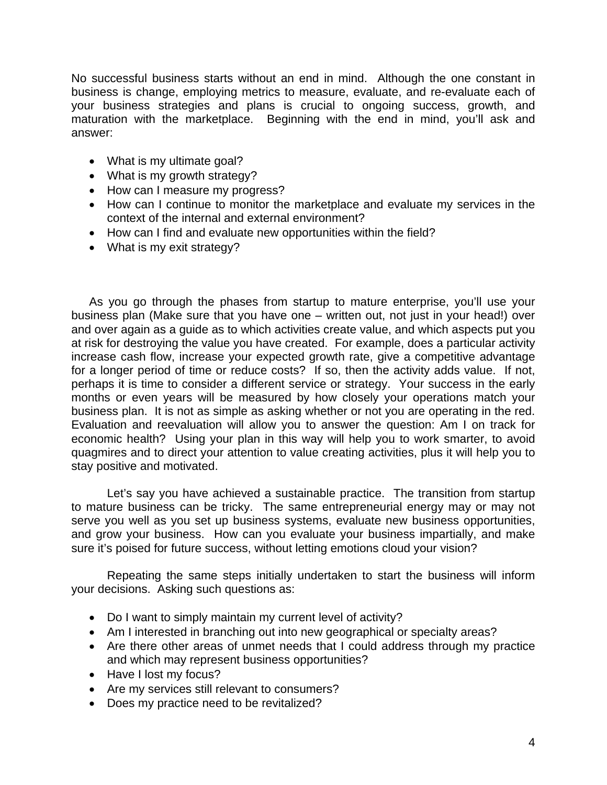No successful business starts without an end in mind. Although the one constant in business is change, employing metrics to measure, evaluate, and re-evaluate each of your business strategies and plans is crucial to ongoing success, growth, and maturation with the marketplace. Beginning with the end in mind, you'll ask and answer:

- What is my ultimate goal?
- What is my growth strategy?
- How can I measure my progress?
- How can I continue to monitor the marketplace and evaluate my services in the context of the internal and external environment?
- How can I find and evaluate new opportunities within the field?
- What is my exit strategy?

As you go through the phases from startup to mature enterprise, you'll use your business plan (Make sure that you have one – written out, not just in your head!) over and over again as a guide as to which activities create value, and which aspects put you at risk for destroying the value you have created. For example, does a particular activity increase cash flow, increase your expected growth rate, give a competitive advantage for a longer period of time or reduce costs? If so, then the activity adds value. If not, perhaps it is time to consider a different service or strategy. Your success in the early months or even years will be measured by how closely your operations match your business plan. It is not as simple as asking whether or not you are operating in the red. Evaluation and reevaluation will allow you to answer the question: Am I on track for economic health? Using your plan in this way will help you to work smarter, to avoid quagmires and to direct your attention to value creating activities, plus it will help you to stay positive and motivated.

 Let's say you have achieved a sustainable practice. The transition from startup to mature business can be tricky. The same entrepreneurial energy may or may not serve you well as you set up business systems, evaluate new business opportunities, and grow your business. How can you evaluate your business impartially, and make sure it's poised for future success, without letting emotions cloud your vision?

Repeating the same steps initially undertaken to start the business will inform your decisions. Asking such questions as:

- Do I want to simply maintain my current level of activity?
- Am I interested in branching out into new geographical or specialty areas?
- Are there other areas of unmet needs that I could address through my practice and which may represent business opportunities?
- Have I lost my focus?
- Are my services still relevant to consumers?
- Does my practice need to be revitalized?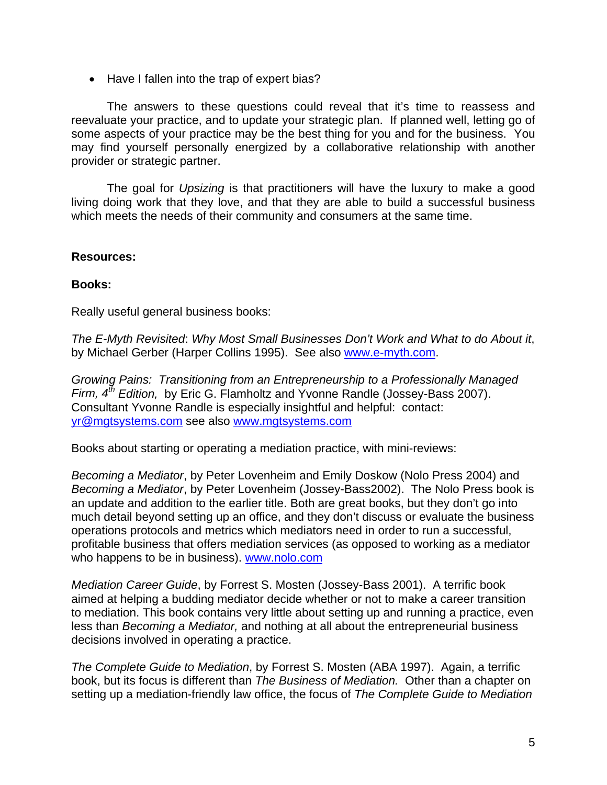• Have I fallen into the trap of expert bias?

The answers to these questions could reveal that it's time to reassess and reevaluate your practice, and to update your strategic plan. If planned well, letting go of some aspects of your practice may be the best thing for you and for the business. You may find yourself personally energized by a collaborative relationship with another provider or strategic partner.

 The goal for *Upsizing* is that practitioners will have the luxury to make a good living doing work that they love, and that they are able to build a successful business which meets the needs of their community and consumers at the same time.

## **Resources:**

## **Books:**

Really useful general business books:

*The E-Myth Revisited*: *Why Most Small Businesses Don't Work and What to do About it*, by Michael Gerber (Harper Collins 1995). See also www.e-myth.com.

*Growing Pains: Transitioning from an Entrepreneurship to a Professionally Managed Firm, 4th Edition,* by Eric G. Flamholtz and Yvonne Randle (Jossey-Bass 2007). Consultant Yvonne Randle is especially insightful and helpful: contact: yr@mgtsystems.com see also www.mgtsystems.com

Books about starting or operating a mediation practice, with mini-reviews:

*Becoming a Mediator*, by Peter Lovenheim and Emily Doskow (Nolo Press 2004) and *Becoming a Mediator*, by Peter Lovenheim (Jossey-Bass2002). The Nolo Press book is an update and addition to the earlier title. Both are great books, but they don't go into much detail beyond setting up an office, and they don't discuss or evaluate the business operations protocols and metrics which mediators need in order to run a successful, profitable business that offers mediation services (as opposed to working as a mediator who happens to be in business). www.nolo.com

*Mediation Career Guide*, by Forrest S. Mosten (Jossey-Bass 2001). A terrific book aimed at helping a budding mediator decide whether or not to make a career transition to mediation. This book contains very little about setting up and running a practice, even less than *Becoming a Mediator,* and nothing at all about the entrepreneurial business decisions involved in operating a practice.

*The Complete Guide to Mediation*, by Forrest S. Mosten (ABA 1997). Again, a terrific book, but its focus is different than *The Business of Mediation.* Other than a chapter on setting up a mediation-friendly law office, the focus of *The Complete Guide to Mediation*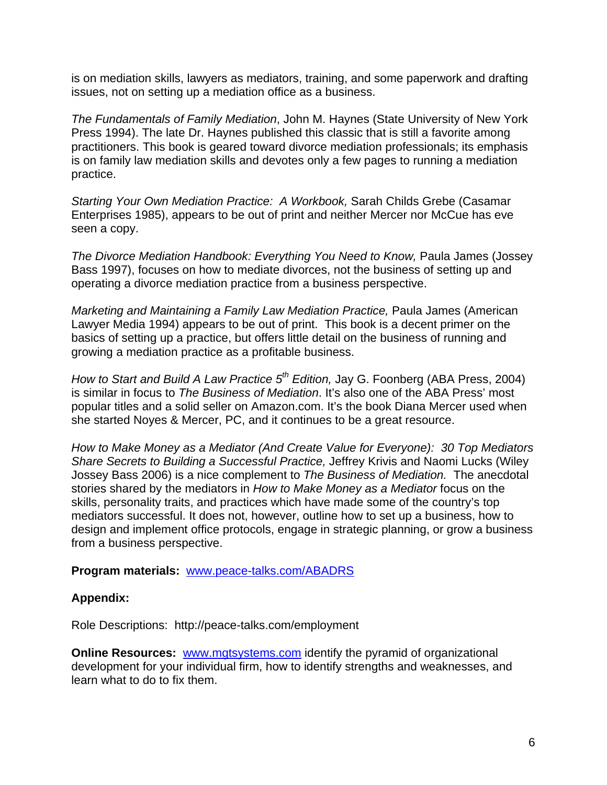is on mediation skills, lawyers as mediators, training, and some paperwork and drafting issues, not on setting up a mediation office as a business.

*The Fundamentals of Family Mediation*, John M. Haynes (State University of New York Press 1994). The late Dr. Haynes published this classic that is still a favorite among practitioners. This book is geared toward divorce mediation professionals; its emphasis is on family law mediation skills and devotes only a few pages to running a mediation practice.

*Starting Your Own Mediation Practice: A Workbook,* Sarah Childs Grebe (Casamar Enterprises 1985), appears to be out of print and neither Mercer nor McCue has eve seen a copy.

*The Divorce Mediation Handbook: Everything You Need to Know,* Paula James (Jossey Bass 1997), focuses on how to mediate divorces, not the business of setting up and operating a divorce mediation practice from a business perspective.

*Marketing and Maintaining a Family Law Mediation Practice, Paula James (American* Lawyer Media 1994) appears to be out of print. This book is a decent primer on the basics of setting up a practice, but offers little detail on the business of running and growing a mediation practice as a profitable business.

*How to Start and Build A Law Practice 5<sup>th</sup> Edition, Jay G. Foonberg (ABA Press, 2004)* is similar in focus to *The Business of Mediation*. It's also one of the ABA Press' most popular titles and a solid seller on Amazon.com. It's the book Diana Mercer used when she started Noyes & Mercer, PC, and it continues to be a great resource.

*How to Make Money as a Mediator (And Create Value for Everyone): 30 Top Mediators Share Secrets to Building a Successful Practice,* Jeffrey Krivis and Naomi Lucks (Wiley Jossey Bass 2006) is a nice complement to *The Business of Mediation.* The anecdotal stories shared by the mediators in *How to Make Money as a Mediator* focus on the skills, personality traits, and practices which have made some of the country's top mediators successful. It does not, however, outline how to set up a business, how to design and implement office protocols, engage in strategic planning, or grow a business from a business perspective.

#### **Program materials:** www.peace-talks.com/ABADRS

## **Appendix:**

Role Descriptions: http://peace-talks.com/employment

**Online Resources:** www.mgtsystems.com identify the pyramid of organizational development for your individual firm, how to identify strengths and weaknesses, and learn what to do to fix them.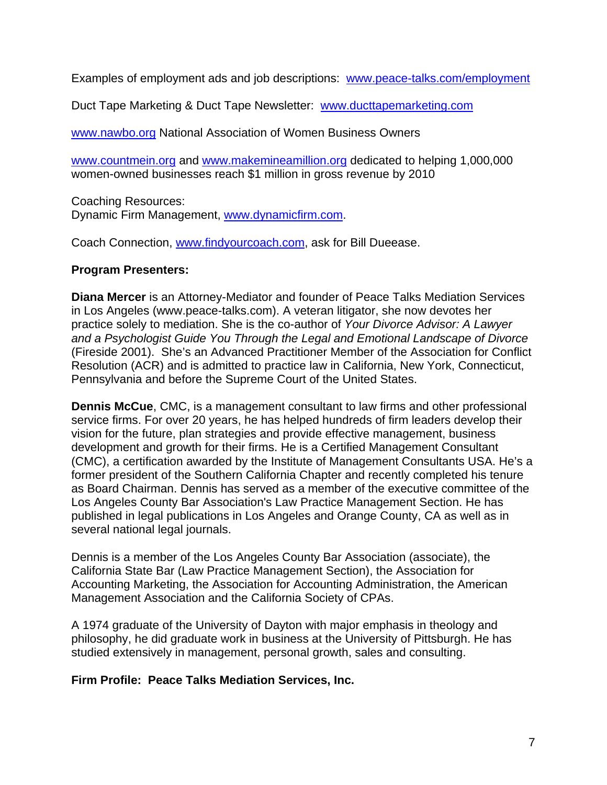Examples of employment ads and job descriptions: www.peace-talks.com/employment

Duct Tape Marketing & Duct Tape Newsletter: www.ducttapemarketing.com

www.nawbo.org National Association of Women Business Owners

www.countmein.org and www.makemineamillion.org dedicated to helping 1,000,000 women-owned businesses reach \$1 million in gross revenue by 2010

Coaching Resources: Dynamic Firm Management, www.dynamicfirm.com.

Coach Connection, www.findyourcoach.com, ask for Bill Dueease.

# **Program Presenters:**

**Diana Mercer** is an Attorney-Mediator and founder of Peace Talks Mediation Services in Los Angeles (www.peace-talks.com). A veteran litigator, she now devotes her practice solely to mediation. She is the co-author of *Your Divorce Advisor: A Lawyer and a Psychologist Guide You Through the Legal and Emotional Landscape of Divorce* (Fireside 2001). She's an Advanced Practitioner Member of the Association for Conflict Resolution (ACR) and is admitted to practice law in California, New York, Connecticut, Pennsylvania and before the Supreme Court of the United States.

**Dennis McCue**, CMC, is a management consultant to law firms and other professional service firms. For over 20 years, he has helped hundreds of firm leaders develop their vision for the future, plan strategies and provide effective management, business development and growth for their firms. He is a Certified Management Consultant (CMC), a certification awarded by the Institute of Management Consultants USA. He's a former president of the Southern California Chapter and recently completed his tenure as Board Chairman. Dennis has served as a member of the executive committee of the Los Angeles County Bar Association's Law Practice Management Section. He has published in legal publications in Los Angeles and Orange County, CA as well as in several national legal journals.

Dennis is a member of the Los Angeles County Bar Association (associate), the California State Bar (Law Practice Management Section), the Association for Accounting Marketing, the Association for Accounting Administration, the American Management Association and the California Society of CPAs.

A 1974 graduate of the University of Dayton with major emphasis in theology and philosophy, he did graduate work in business at the University of Pittsburgh. He has studied extensively in management, personal growth, sales and consulting.

# **Firm Profile: Peace Talks Mediation Services, Inc.**